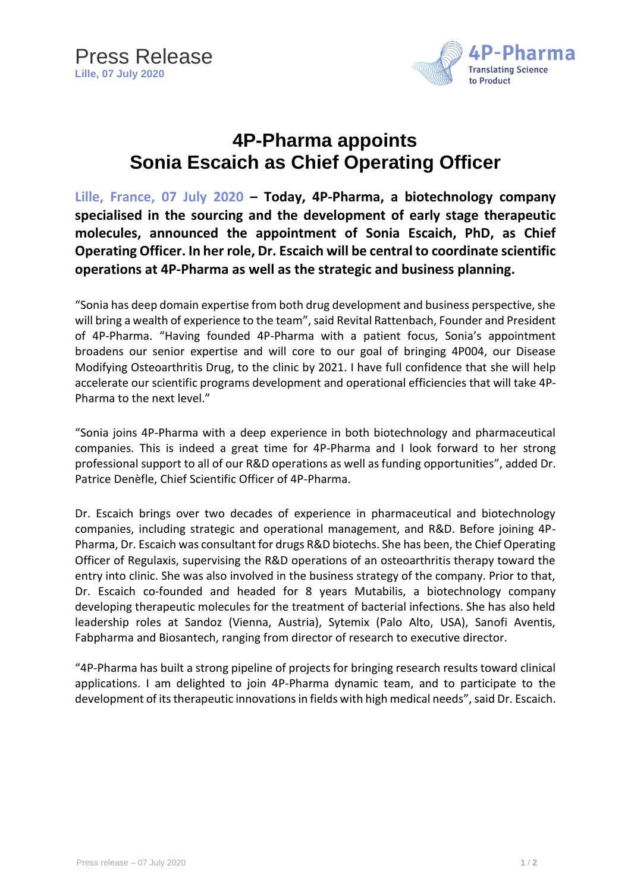

## **4P-Pharma appoints Sonia Escaich as Chief Operating Officer**

**Lille, France, 07 July 2020 – Today, 4P-Pharma, a biotechnology company specialised in the sourcing and the development of early stage therapeutic molecules, announced the appointment of Sonia Escaich, PhD, as Chief Operating Officer. In her role, Dr. Escaich will be central to coordinate scientific operations at 4P-Pharma as well as the strategic and business planning.**

"Sonia has deep domain expertise from both drug development and business perspective, she will bring a wealth of experience to the team", said Revital Rattenbach, Founder and President of 4P-Pharma. "Having founded 4P-Pharma with a patient focus, Sonia's appointment broadens our senior expertise and will core to our goal of bringing 4P004, our Disease Modifying Osteoarthritis Drug, to the clinic by 2021. I have full confidence that she will help accelerate our scientific programs development and operational efficiencies that will take 4P-Pharma to the next level."

"Sonia joins 4P-Pharma with a deep experience in both biotechnology and pharmaceutical companies. This is indeed a great time for 4P-Pharma and I look forward to her strong professional support to all of our R&D operations as well as funding opportunities", added Dr. Patrice Denèfle, Chief Scientific Officer of 4P-Pharma.

Dr. Escaich brings over two decades of experience in pharmaceutical and biotechnology companies, including strategic and operational management, and R&D. Before joining 4P-Pharma, Dr. Escaich was consultant for drugs R&D biotechs. She has been, the Chief Operating Officer of Regulaxis, supervising the R&D operations of an osteoarthritis therapy toward the entry into clinic. She was also involved in the business strategy of the company. Prior to that, Dr. Escaich co-founded and headed for 8 years Mutabilis, a biotechnology company developing therapeutic molecules for the treatment of bacterial infections. She has also held leadership roles at Sandoz (Vienna, Austria), Sytemix (Palo Alto, USA), Sanofi Aventis, Fabpharma and Biosantech, ranging from director of research to executive director.

"4P-Pharma has built a strong pipeline of projects for bringing research results toward clinical applications. I am delighted to join 4P-Pharma dynamic team, and to participate to the development of its therapeutic innovations in fields with high medical needs", said Dr. Escaich.